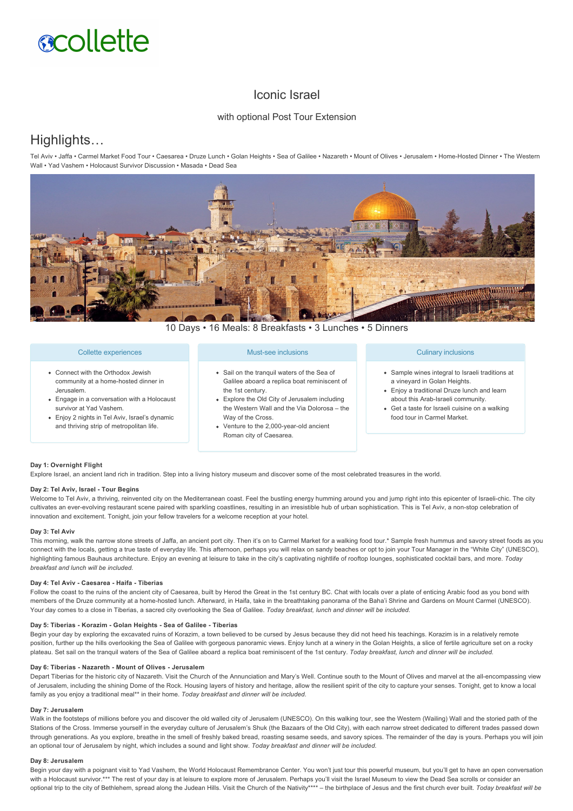# **scollette**

# Iconic Israel

# with optional Post Tour Extension

# Highlights…

Tel Aviv • Jaffa • Carmel Market Food Tour • Caesarea • Druze Lunch • Golan Heights • Sea of Galilee • Nazareth • Mount of Olives • Jerusalem • HomeHosted Dinner • The Western Wall • Yad Vashem • Holocaust Survivor Discussion • Masada • Dead Sea



10 Days • 16 Meals: 8 Breakfasts • 3 Lunches • 5 Dinners

# Collette experiences

- Connect with the Orthodox Jewish community at a home-hosted dinner in Jerusalem.
- Engage in a conversation with a Holocaust survivor at Yad Vashem.
- Enjoy 2 nights in Tel Aviv, Israel's dynamic and thriving strip of metropolitan life.

# Must-see inclusions

- Sail on the tranquil waters of the Sea of Galilee aboard a replica boat reminiscent of the 1st century.
- Explore the Old City of Jerusalem including the Western Wall and the Via Dolorosa – the Way of the Cross.
- Venture to the 2,000-year-old ancient Roman city of Caesarea.

# Culinary inclusions

- Sample wines integral to Israeli traditions at a vineyard in Golan Heights.
- Enjoy a traditional Druze lunch and learn about this Arab-Israeli community
- Get a taste for Israeli cuisine on a walking food tour in Carmel Market.

## **Day 1: Overnight Flight**

Explore Israel, an ancient land rich in tradition. Step into a living history museum and discover some of the most celebrated treasures in the world.

# Day 2: Tel Aviv, Israel - Tour Begins

Welcome to Tel Aviv, a thriving, reinvented city on the Mediterranean coast. Feel the bustling energy humming around you and jump right into this epicenter of Israeli-chic. The city cultivates an ever-evolving restaurant scene paired with sparkling coastlines, resulting in an irresistible hub of urban sophistication. This is Tel Aviv, a non-stop celebration of innovation and excitement. Tonight, join your fellow travelers for a welcome reception at your hotel.

#### **Day 3: Tel Aviv**

This morning, walk the narrow stone streets of Jaffa, an ancient port city. Then it's on to Carmel Market for a walking food tour.\* Sample fresh hummus and savory street foods as you connect with the locals, getting a true taste of everyday life. This afternoon, perhaps you will relax on sandy beaches or opt to join your Tour Manager in the "White City" (UNESCO). highlighting famous Bauhaus architecture. Enjoy an evening at leisure to take in the city's captivating nightlife of rooftop lounges, sophisticated cocktail bars, and more. *Today breakfast and lunch will be included.*

#### **Day 4: Tel Aviv Caesarea Haifa Tiberias**

Follow the coast to the ruins of the ancient city of Caesarea, built by Herod the Great in the 1st century BC. Chat with locals over a plate of enticing Arabic food as you bond with members of the Druze community at a home-hosted lunch. Afterward, in Haifa, take in the breathtaking panorama of the Baha'i Shrine and Gardens on Mount Carmel (UNESCO). Your day comes to a close in Tiberias, a sacred city overlooking the Sea of Galilee. *Today breakfast, lunch and dinner will be included.*

### **Day 5: Tiberias Korazim Golan Heights Sea of Galilee Tiberias**

Begin your day by exploring the excavated ruins of Korazim, a town believed to be cursed by Jesus because they did not heed his teachings. Korazim is in a relatively remote position, further up the hills overlooking the Sea of Galilee with gorgeous panoramic views. Enjoy lunch at a winery in the Golan Heights, a slice of fertile agriculture set on a rocky plateau. Set sail on the tranquil waters of the Sea of Galilee aboard a replica boat reminiscent of the 1st century. *Today breakfast, lunch and dinner will be included.*

#### Day 6: Tiberias - Nazareth - Mount of Olives - Jerusalem

Depart Tiberias for the historic city of Nazareth. Visit the Church of the Annunciation and Mary's Well. Continue south to the Mount of Olives and marvel at the all-encompassing view of Jerusalem, including the shining Dome of the Rock. Housing layers of history and heritage, allow the resilient spirit of the city to capture your senses. Tonight, get to know a local family as you enjoy a traditional meal\*\* in their home. *Today breakfast and dinner will be included.* 

#### **Day 7: Jerusalem**

Walk in the footsteps of millions before you and discover the old walled city of Jerusalem (UNESCO). On this walking tour, see the Western (Wailing) Wall and the storied path of the Stations of the Cross. Immerse yourself in the everyday culture of Jerusalem's Shuk (the Bazaars of the Old City), with each narrow street dedicated to different trades passed down through generations. As you explore, breathe in the smell of freshly baked bread, roasting sesame seeds, and savory spices. The remainder of the day is yours. Perhaps you will join an optional tour of Jerusalem by night, which includes a sound and light show. *Today breakfast and dinner will be included.*

#### **Day 8: Jerusalem**

Begin your day with a poignant visit to Yad Vashem, the World Holocaust Remembrance Center. You won't just tour this powerful museum, but you'll get to have an open conversation with a Holocaust survivor.\*\*\* The rest of your day is at leisure to explore more of Jerusalem. Perhaps you'll visit the Israel Museum to view the Dead Sea scrolls or consider an optional trip to the city of Bethlehem, spread along the Judean Hills. Visit the Church of the Nativity\*\*\*\* – the birthplace of Jesus and the first church ever built. *Today breakfast will be*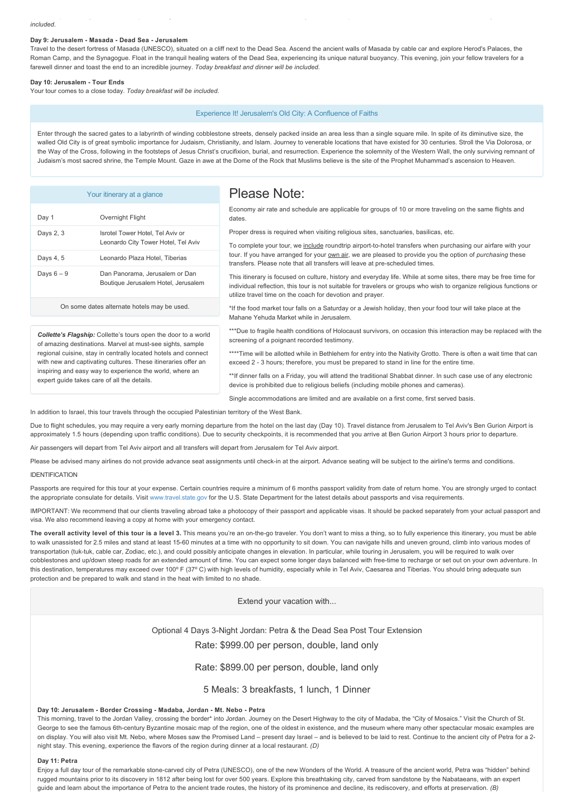#### **Day 9: Jerusalem Masada Dead Sea Jerusalem**

Travel to the desert fortress of Masada (UNESCO), situated on a cliff next to the Dead Sea. Ascend the ancient walls of Masada by cable car and explore Herod's Palaces, the Roman Camp, and the Synagogue. Float in the tranguil healing waters of the Dead Sea, experiencing its unique natural buoyancy. This evening, join your fellow travelers for a farewell dinner and toast the end to an incredible journey. *Today breakfast and dinner will be included.*

optional trip to the city of Bethlehem, spread along the Judean Hills. Visit the Church of the Nativity\*\*\*\* – the birthplace of Jesus and the first church ever built. *Today breakfast will be*

#### **Day 10: Jerusalem Tour Ends**

Your tour comes to a close today. *Today breakfast will be included.*

#### Experience It! Jerusalem's Old City: A Confluence of Faiths

Enter through the sacred gates to a labyrinth of winding cobblestone streets, densely packed inside an area less than a single square mile. In spite of its diminutive size, the walled Old City is of great symbolic importance for Judaism, Christianity, and Islam. Journey to venerable locations that have existed for 30 centuries. Stroll the Via Dolorosa, or the Way of the Cross, following in the footsteps of Jesus Christ's crucifixion, burial, and resurrection. Experience the solemnity of the Western Wall, the only surviving remnant of Judaism's most sacred shrine, the Temple Mount. Gaze in awe at the Dome of the Rock that Muslims believe is the site of the Prophet Muhammad's ascension to Heaven.

| Your itinerary at a glance                                                                                                                                                                                                                                                                                                                                                        |                                                                         | Please Note:                                                                                                                                                                                                                                                                                                                                                                                                                                                                                                                                                                                                                                                                                               |
|-----------------------------------------------------------------------------------------------------------------------------------------------------------------------------------------------------------------------------------------------------------------------------------------------------------------------------------------------------------------------------------|-------------------------------------------------------------------------|------------------------------------------------------------------------------------------------------------------------------------------------------------------------------------------------------------------------------------------------------------------------------------------------------------------------------------------------------------------------------------------------------------------------------------------------------------------------------------------------------------------------------------------------------------------------------------------------------------------------------------------------------------------------------------------------------------|
| Day 1                                                                                                                                                                                                                                                                                                                                                                             | Overnight Flight                                                        | Economy air rate and schedule are applicable for groups of 10 or more traveling on the same flights and<br>dates.                                                                                                                                                                                                                                                                                                                                                                                                                                                                                                                                                                                          |
| Days 2, 3                                                                                                                                                                                                                                                                                                                                                                         | Isrotel Tower Hotel, Tel Aviv or<br>Leonardo City Tower Hotel, Tel Aviv | Proper dress is required when visiting religious sites, sanctuaries, basilicas, etc.<br>To complete your tour, we include roundtrip airport-to-hotel transfers when purchasing our airfare with your<br>tour. If you have arranged for your own air, we are pleased to provide you the option of purchasing these<br>transfers. Please note that all transfers will leave at pre-scheduled times.<br>This itinerary is focused on culture, history and everyday life. While at some sites, there may be free time for<br>individual reflection, this tour is not suitable for travelers or groups who wish to organize religious functions or<br>utilize travel time on the coach for devotion and prayer. |
| Days 4, 5                                                                                                                                                                                                                                                                                                                                                                         | Leonardo Plaza Hotel, Tiberias                                          |                                                                                                                                                                                                                                                                                                                                                                                                                                                                                                                                                                                                                                                                                                            |
| Days $6-9$                                                                                                                                                                                                                                                                                                                                                                        | Dan Panorama, Jerusalem or Dan<br>Boutique Jerusalem Hotel, Jerusalem   |                                                                                                                                                                                                                                                                                                                                                                                                                                                                                                                                                                                                                                                                                                            |
| On some dates alternate hotels may be used.                                                                                                                                                                                                                                                                                                                                       |                                                                         | *If the food market tour falls on a Saturday or a Jewish holiday, then your food tour will take place at the<br>Mahane Yehuda Market while in Jerusalem.                                                                                                                                                                                                                                                                                                                                                                                                                                                                                                                                                   |
| <b>Collette's Flagship:</b> Collette's tours open the door to a world<br>of amazing destinations. Marvel at must-see sights, sample<br>regional cuisine, stay in centrally located hotels and connect<br>with new and captivating cultures. These itineraries offer an<br>inspiring and easy way to experience the world, where an<br>expert quide takes care of all the details. |                                                                         | ***Due to fragile health conditions of Holocaust survivors, on occasion this interaction may be replaced with the<br>screening of a poignant recorded testimony.                                                                                                                                                                                                                                                                                                                                                                                                                                                                                                                                           |
|                                                                                                                                                                                                                                                                                                                                                                                   |                                                                         | ****Time will be allotted while in Bethlehem for entry into the Nativity Grotto. There is often a wait time that can<br>exceed 2 - 3 hours; therefore, you must be prepared to stand in line for the entire time.                                                                                                                                                                                                                                                                                                                                                                                                                                                                                          |
|                                                                                                                                                                                                                                                                                                                                                                                   |                                                                         | **If dinner falls on a Friday, you will attend the traditional Shabbat dinner. In such case use of any electronic<br>device is prohibited due to religious beliefs (including mobile phones and cameras).                                                                                                                                                                                                                                                                                                                                                                                                                                                                                                  |

In addition to Israel, this tour travels through the occupied Palestinian territory of the West Bank.

Due to flight schedules, you may require a very early morning departure from the hotel on the last day (Day 10). Travel distance from Jerusalem to Tel Aviv's Ben Gurion Airport is approximately 1.5 hours (depending upon traffic conditions). Due to security checkpoints, it is recommended that you arrive at Ben Gurion Airport 3 hours prior to departure.

Single accommodations are limited and are available on a first come, first served basis.

Air passengers will depart from Tel Aviv airport and all transfers will depart from Jerusalem for Tel Aviv airport.

Please be advised many airlines do not provide advance seat assignments until check-in at the airport. Advance seating will be subject to the airline's terms and conditions.

#### IDENTIFICATION

Passports are required for this tour at your expense. Certain countries require a minimum of 6 months passport validity from date of return home. You are strongly urged to contact the appropriate consulate for details. Visit [www.travel.state.gov](https://itinerary.collette.com/Documents/Flyer/13879/USD/www.travel.state.gov) for the U.S. State Department for the latest details about passports and visa requirements.

IMPORTANT: We recommend that our clients traveling abroad take a photocopy of their passport and applicable visas. It should be packed separately from your actual passport and visa. We also recommend leaving a copy at home with your emergency contact.

The overall activity level of this tour is a level 3. This means you're an on-the-go traveler. You don't want to miss a thing, so to fully experience this itinerary, you must be able to walk unassisted for 2.5 miles and stand at least 1560 minutes at a time with no opportunity to sit down. You can navigate hills and uneven ground, climb into various modes of transportation (tuk-tuk, cable car, Zodiac, etc.), and could possibly anticipate changes in elevation. In particular, while touring in Jerusalem, you will be required to walk over cobblestones and up/down steep roads for an extended amount of time. You can expect some longer days balanced with free-time to recharge or set out on your own adventure. In this destination, temperatures may exceed over 100° F (37° C) with high levels of humidity, especially while in Tel Aviv, Caesarea and Tiberias. You should bring adequate sun protection and be prepared to walk and stand in the heat with limited to no shade.

Extend your vacation with...

Optional 4 Days 3-Night Jordan: Petra & the Dead Sea Post Tour Extension

Rate: \$999.00 per person, double, land only

Rate: \$899.00 per person, double, land only

5 Meals: 3 breakfasts, 1 lunch, 1 Dinner

#### Day 10: Jerusalem - Border Crossing - Madaba, Jordan - Mt. Nebo - Petra

This morning, travel to the Jordan Valley, crossing the border\* into Jordan. Journey on the Desert Highway to the city of Madaba, the "City of Mosaics." Visit the Church of St. George to see the famous 6th-century Byzantine mosaic map of the region, one of the oldest in existence, and the museum where many other spectacular mosaic examples are on display. You will also visit Mt. Nebo, where Moses saw the Promised Land – present day Israel – and is believed to be laid to rest. Continue to the ancient city of Petra for a 2night stay. This evening, experience the flavors of the region during dinner at a local restaurant. *(D)*

#### **Day 11: Petra**

Enjoy a full day tour of the remarkable stone-carved city of Petra (UNESCO), one of the new Wonders of the World. A treasure of the ancient world, Petra was "hidden" behind rugged mountains prior to its discovery in 1812 after being lost for over 500 years. Explore this breathtaking city, carved from sandstone by the Nabataeans, with an expert guide and learn about the importance of Petra to the ancient trade routes, the history of its prominence and decline, its rediscovery, and efforts at preservation. *(B)*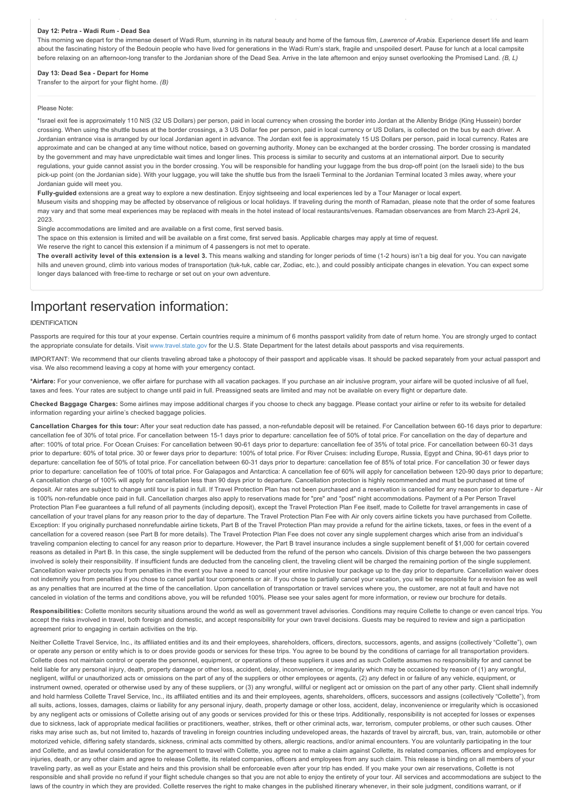#### **Day 12: Petra Wadi Rum Dead Sea**

This morning we depart for the immense desert of Wadi Rum, stunning in its natural beauty and home of the famous film, *Lawrence of Arabia*. Experience desert life and learn about the fascinating history of the Bedouin people who have lived for generations in the Wadi Rum's stark, fragile and unspoiled desert. Pause for lunch at a local campsite before relaxing on an afternoon-long transfer to the Jordanian shore of the Dead Sea. Arrive in the late afternoon and enjoy sunset overlooking the Promised Land. *(B, L)* 

guide and learn about the importance of Petra to the ancient trade routes, the history of its prominence and decline, its rediscovery, and efforts at preservation. *(B)*

#### **Day 13: Dead Sea Depart for Home**

Transfer to the airport for your flight home. *(B)*

#### Please Note:

\*Israel exit fee is approximately 110 NIS (32 US Dollars) per person, paid in local currency when crossing the border into Jordan at the Allenby Bridge (King Hussein) border crossing. When using the shuttle buses at the border crossings, a 3 US Dollar fee per person, paid in local currency or US Dollars, is collected on the bus by each driver. A Jordanian entrance visa is arranged by our local Jordanian agent in advance. The Jordan exit fee is approximately 15 US Dollars per person, paid in local currency. Rates are approximate and can be changed at any time without notice, based on governing authority. Money can be exchanged at the border crossing. The border crossing is mandated by the government and may have unpredictable wait times and longer lines. This process is similar to security and customs at an international airport. Due to security requiations, your quide cannot assist you in the border crossing. You will be responsible for handling your luggage from the bus drop-off point (on the Israeli side) to the bus pick-up point (on the Jordanian side). With your luggage, you will take the shuttle bus from the Israeli Terminal to the Jordanian Terminal located 3 miles away, where your Jordanian guide will meet you.

Fully-guided extensions are a great way to explore a new destination. Enjoy sightseeing and local experiences led by a Tour Manager or local expert.

Museum visits and shopping may be affected by observance of religious or local holidays. If traveling during the month of Ramadan, please note that the order of some features may vary and that some meal experiences may be replaced with meals in the hotel instead of local restaurants/venues. Ramadan observances are from March 23-April 24, 2023.

Single accommodations are limited and are available on a first come, first served basis.

The space on this extension is limited and will be available on a first come, first served basis. Applicable charges may apply at time of request.

We reserve the right to cancel this extension if a minimum of 4 passengers is not met to operate.

**The overall activity level of this extension is a level 3.** This means walking and standing for longer periods of time (12 hours) isn't a big deal for you. You can navigate hills and uneven ground, climb into various modes of transportation (tuk-tuk, cable car, Zodiac, etc.), and could possibly anticipate changes in elevation. You can expect some longer days balanced with free-time to recharge or set out on your own adventure.

# Important reservation information:

#### IDENTIFICATION

Passports are required for this tour at your expense. Certain countries require a minimum of 6 months passport validity from date of return home. You are strongly urged to contact the appropriate consulate for details. Visit [www.travel.state.gov](https://itinerary.collette.com/Documents/Flyer/13879/USD/www.travel.state.gov) for the U.S. State Department for the latest details about passports and visa requirements.

IMPORTANT: We recommend that our clients traveling abroad take a photocopy of their passport and applicable visas. It should be packed separately from your actual passport and visa. We also recommend leaving a copy at home with your emergency contact.

**\*Airfare:** For your convenience, we offer airfare for purchase with all vacation packages. If you purchase an air inclusive program, your airfare will be quoted inclusive of all fuel, taxes and fees. Your rates are subject to change until paid in full. Preassigned seats are limited and may not be available on every flight or departure date.

**Checked Baggage Charges:** Some airlines may impose additional charges if you choose to check any baggage. Please contact your airline or refer to its website for detailed information regarding your airline's checked baggage policies.

**Cancellation Charges for this tour:** After your seat reduction date has passed, a nonrefundable deposit will be retained. For Cancellation between 6016 days prior to departure: cancellation fee of 30% of total price. For cancellation between 15-1 days prior to departure: cancellation fee of 50% of total price. For cancellation on the day of departure and after: 100% of total price. For Ocean Cruises: For cancellation between 90-61 days prior to departure: cancellation fee of 35% of total price. For cancellation between 60-31 days prior to departure: 60% of total price. 30 or fewer days prior to departure: 100% of total price. For River Cruises: including Europe, Russia, Egypt and China, 90-61 days prior to departure: cancellation fee of 50% of total price. For cancellation between 6031 days prior to departure: cancellation fee of 85% of total price. For cancellation 30 or fewer days prior to departure: cancellation fee of 100% of total price. For Galapagos and Antarctica: A cancellation fee of 60% will apply for cancellation between 120-90 days prior to departure; A cancellation charge of 100% will apply for cancellation less than 90 days prior to departure. Cancellation protection is highly recommended and must be purchased at time of deposit. Air rates are subject to change until tour is paid in full. If Travel Protection Plan has not been purchased and a reservation is cancelled for any reason prior to departure - Air is 100% non-refundable once paid in full. Cancellation charges also apply to reservations made for "pre" and "post" night accommodations. Payment of a Per Person Travel Protection Plan Fee guarantees a full refund of all payments (including deposit), except the Travel Protection Plan Fee itself, made to Collette for travel arrangements in case of cancellation of your travel plans for any reason prior to the day of departure. The Travel Protection Plan Fee with Air only covers airline tickets you have purchased from Collette. Exception: If you originally purchased nonrefundable airline tickets, Part B of the Travel Protection Plan may provide a refund for the airline tickets, taxes, or fees in the event of a cancellation for a covered reason (see Part B for more details). The Travel Protection Plan Fee does not cover any single supplement charges which arise from an individual's traveling companion electing to cancel for any reason prior to departure. However, the Part B travel insurance includes a single supplement benefit of \$1,000 for certain covered reasons as detailed in Part B. In this case, the single supplement will be deducted from the refund of the person who cancels. Division of this charge between the two passengers involved is solely their responsibility. If insufficient funds are deducted from the canceling client, the traveling client will be charged the remaining portion of the single supplement. Cancellation waiver protects you from penalties in the event you have a need to cancel your entire inclusive tour package up to the day prior to departure. Cancellation waiver does not indemnify you from penalties if you chose to cancel partial tour components or air. If you chose to partially cancel your vacation, you will be responsible for a revision fee as well as any penalties that are incurred at the time of the cancellation. Upon cancellation of transportation or travel services where you, the customer, are not at fault and have not canceled in violation of the terms and conditions above, you will be refunded 100%. Please see your sales agent for more information, or review our brochure for details.

Responsibilities: Collette monitors security situations around the world as well as government travel advisories. Conditions may require Collette to change or even cancel trips. You accept the risks involved in travel, both foreign and domestic, and accept responsibility for your own travel decisions. Guests may be required to review and sign a participation agreement prior to engaging in certain activities on the trip.

Neither Collette Travel Service, Inc., its affiliated entities and its and their employees, shareholders, officers, directors, successors, agents, and assigns (collectively "Collette"), own or operate any person or entity which is to or does provide goods or services for these trips. You agree to be bound by the conditions of carriage for all transportation providers. Collette does not maintain control or operate the personnel, equipment, or operations of these suppliers it uses and as such Collette assumes no responsibility for and cannot be held liable for any personal injury, death, property damage or other loss, accident, delay, inconvenience, or irregularity which may be occasioned by reason of (1) any wrongful, negligent, willful or unauthorized acts or omissions on the part of any of the suppliers or other employees or agents, (2) any defect in or failure of any vehicle, equipment, or instrument owned, operated or otherwise used by any of these suppliers, or (3) any wrongful, willful or negligent act or omission on the part of any other party. Client shall indemnify and hold harmless Collette Travel Service, Inc., its affiliated entities and its and their employees, agents, shareholders, officers, successors and assigns (collectively "Collette"), from all suits, actions, losses, damages, claims or liability for any personal injury, death, property damage or other loss, accident, delay, inconvenience or irregularity which is occasioned by any negligent acts or omissions of Collette arising out of any goods or services provided for this or these trips. Additionally, responsibility is not accepted for losses or expenses due to sickness, lack of appropriate medical facilities or practitioners, weather, strikes, theft or other criminal acts, war, terrorism, computer problems, or other such causes. Other risks may arise such as, but not limited to, hazards of traveling in foreign countries including undeveloped areas, the hazards of travel by aircraft, bus, van, train, automobile or other motorized vehicle, differing safety standards, sickness, criminal acts committed by others, allergic reactions, and/or animal encounters, You are voluntarily participating in the tour and Collette, and as lawful consideration for the agreement to travel with Collette, you agree not to make a claim against Collette, its related companies, officers and employees for injuries, death, or any other claim and agree to release Collette, its related companies, officers and employees from any such claim. This release is binding on all members of your traveling party, as well as your Estate and heirs and this provision shall be enforceable even after your trip has ended. If you make your own air reservations, Collette is not responsible and shall provide no refund if your flight schedule changes so that you are not able to enjoy the entirety of your tour. All services and accommodations are subject to the laws of the country in which they are provided. Collette reserves the right to make changes in the published itinerary whenever, in their sole judgment, conditions warrant, or if